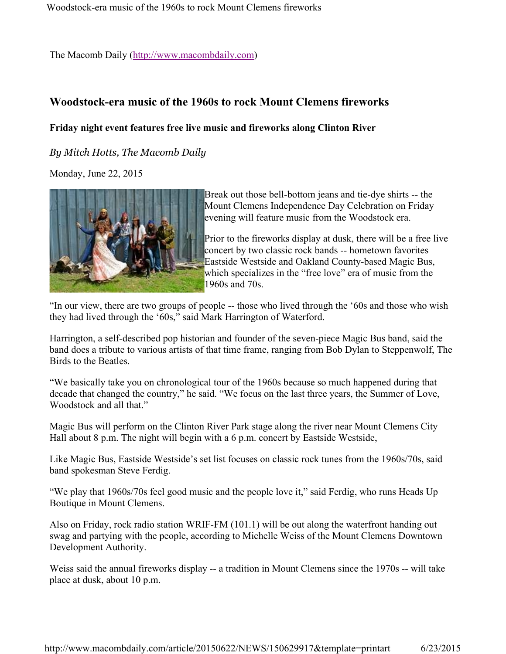The Macomb Daily (http://www.macombdaily.com)

## **Woodstock-era music of the 1960s to rock Mount Clemens fireworks**

## **Friday night event features free live music and fireworks along Clinton River**

## *By Mitch Hotts, The Macomb Daily*

Monday, June 22, 2015



Break out those bell-bottom jeans and tie-dye shirts -- the Mount Clemens Independence Day Celebration on Friday evening will feature music from the Woodstock era.

Prior to the fireworks display at dusk, there will be a free live concert by two classic rock bands -- hometown favorites Eastside Westside and Oakland County-based Magic Bus, which specializes in the "free love" era of music from the 1960s and 70s.

"In our view, there are two groups of people -- those who lived through the '60s and those who wish they had lived through the '60s," said Mark Harrington of Waterford.

Harrington, a self-described pop historian and founder of the seven-piece Magic Bus band, said the band does a tribute to various artists of that time frame, ranging from Bob Dylan to Steppenwolf, The Birds to the Beatles.

"We basically take you on chronological tour of the 1960s because so much happened during that decade that changed the country," he said. "We focus on the last three years, the Summer of Love, Woodstock and all that."

Magic Bus will perform on the Clinton River Park stage along the river near Mount Clemens City Hall about 8 p.m. The night will begin with a 6 p.m. concert by Eastside Westside,

Like Magic Bus, Eastside Westside's set list focuses on classic rock tunes from the 1960s/70s, said band spokesman Steve Ferdig.

"We play that 1960s/70s feel good music and the people love it," said Ferdig, who runs Heads Up Boutique in Mount Clemens.

Also on Friday, rock radio station WRIF-FM (101.1) will be out along the waterfront handing out swag and partying with the people, according to Michelle Weiss of the Mount Clemens Downtown Development Authority.

Weiss said the annual fireworks display -- a tradition in Mount Clemens since the 1970s -- will take place at dusk, about 10 p.m.